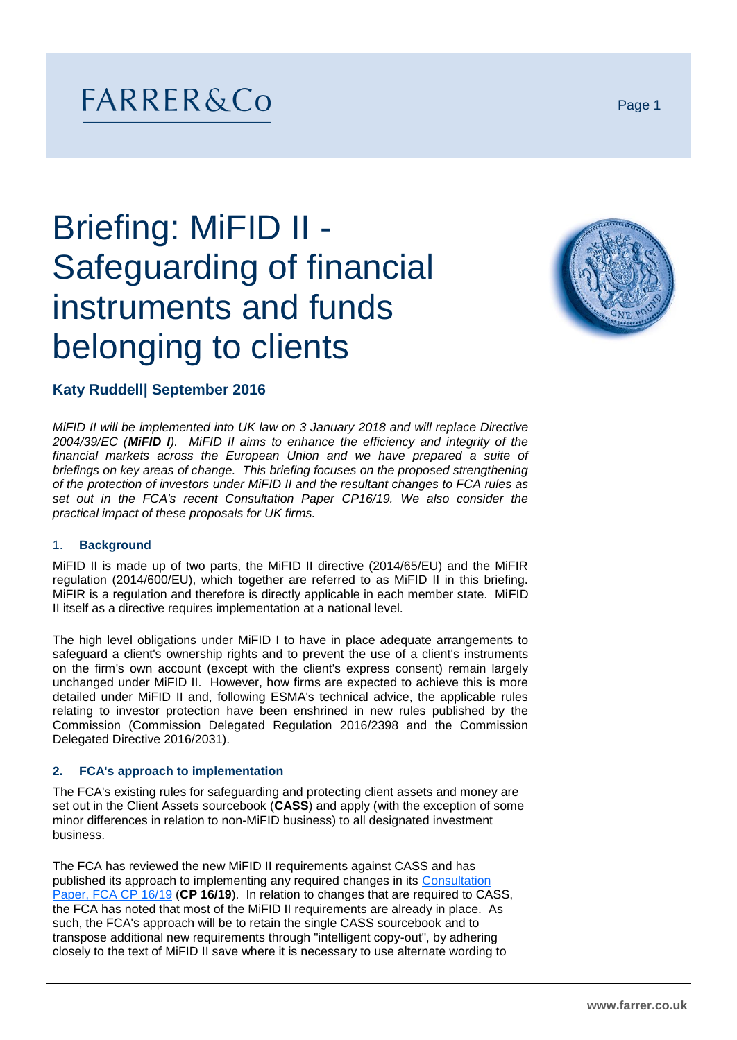# FARRER&Co

# Briefing: MiFID II - Safeguarding of financial instruments and funds belonging to clients



# **Katy Ruddell| September 2016**

*MiFID II will be implemented into UK law on 3 January 2018 and will replace Directive 2004/39/EC (MiFID I). MiFID II aims to enhance the efficiency and integrity of the financial markets across the European Union and we have prepared a suite of briefings on key areas of change. This briefing focuses on the proposed strengthening of the protection of investors under MiFID II and the resultant changes to FCA rules as set out in the FCA's recent Consultation Paper CP16/19. We also consider the practical impact of these proposals for UK firms.*

#### 1. **Background**

MiFID II is made up of two parts, the MiFID II directive (2014/65/EU) and the MiFIR regulation (2014/600/EU), which together are referred to as MiFID II in this briefing. MiFIR is a regulation and therefore is directly applicable in each member state. MiFID II itself as a directive requires implementation at a national level.

The high level obligations under MiFID I to have in place adequate arrangements to safeguard a client's ownership rights and to prevent the use of a client's instruments on the firm's own account (except with the client's express consent) remain largely unchanged under MiFID II. However, how firms are expected to achieve this is more detailed under MiFID II and, following ESMA's technical advice, the applicable rules relating to investor protection have been enshrined in new rules published by the Commission (Commission Delegated Regulation 2016/2398 and the Commission Delegated Directive 2016/2031).

#### **2. FCA's approach to implementation**

The FCA's existing rules for safeguarding and protecting client assets and money are set out in the Client Assets sourcebook (**CASS**) and apply (with the exception of some minor differences in relation to non-MiFID business) to all designated investment business.

The FCA has reviewed the new MiFID II requirements against CASS and has published its approach to implementing any required changes in its [Consultation](https://www.fca.org.uk/publication/consultation/cp16-19.pdf)  [Paper, FCA CP 16/19](https://www.fca.org.uk/publication/consultation/cp16-19.pdf) (**CP 16/19**). In relation to changes that are required to CASS, the FCA has noted that most of the MiFID II requirements are already in place. As such, the FCA's approach will be to retain the single CASS sourcebook and to transpose additional new requirements through "intelligent copy-out", by adhering closely to the text of MiFID II save where it is necessary to use alternate wording to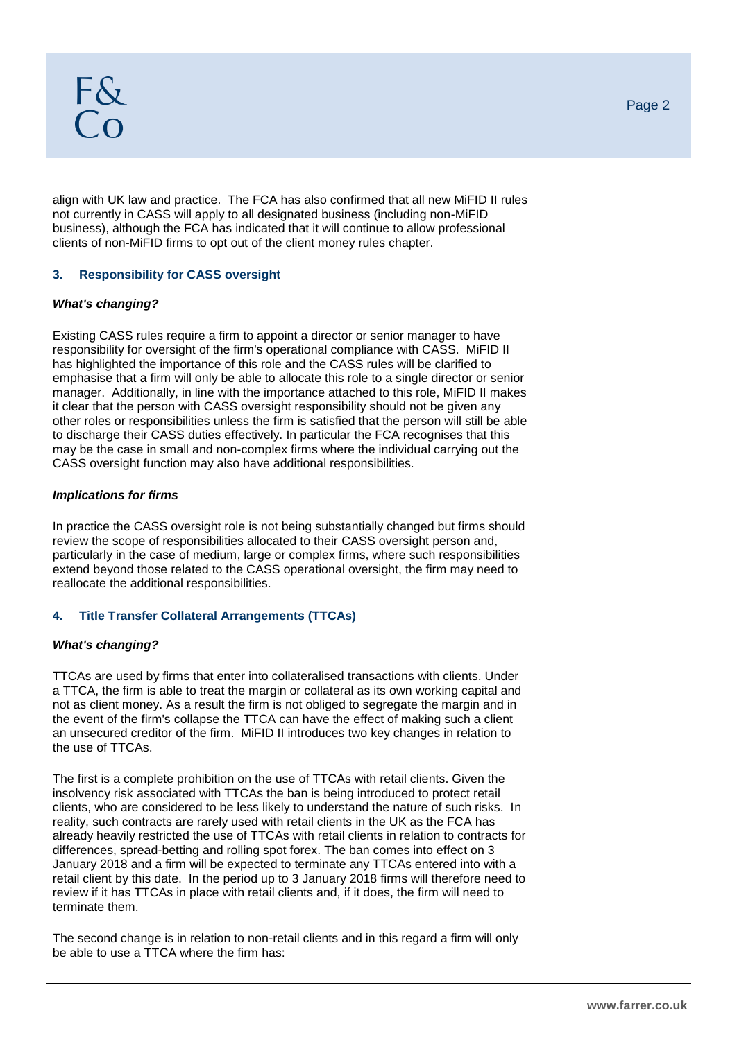align with UK law and practice. The FCA has also confirmed that all new MiFID II rules not currently in CASS will apply to all designated business (including non-MiFID business), although the FCA has indicated that it will continue to allow professional clients of non-MiFID firms to opt out of the client money rules chapter.

# **3. Responsibility for CASS oversight**

# *What's changing?*

Existing CASS rules require a firm to appoint a director or senior manager to have responsibility for oversight of the firm's operational compliance with CASS. MiFID II has highlighted the importance of this role and the CASS rules will be clarified to emphasise that a firm will only be able to allocate this role to a single director or senior manager. Additionally, in line with the importance attached to this role, MiFID II makes it clear that the person with CASS oversight responsibility should not be given any other roles or responsibilities unless the firm is satisfied that the person will still be able to discharge their CASS duties effectively. In particular the FCA recognises that this may be the case in small and non-complex firms where the individual carrying out the CASS oversight function may also have additional responsibilities.

# *Implications for firms*

In practice the CASS oversight role is not being substantially changed but firms should review the scope of responsibilities allocated to their CASS oversight person and, particularly in the case of medium, large or complex firms, where such responsibilities extend beyond those related to the CASS operational oversight, the firm may need to reallocate the additional responsibilities.

# **4. Title Transfer Collateral Arrangements (TTCAs)**

#### *What's changing?*

TTCAs are used by firms that enter into collateralised transactions with clients. Under a TTCA, the firm is able to treat the margin or collateral as its own working capital and not as client money. As a result the firm is not obliged to segregate the margin and in the event of the firm's collapse the TTCA can have the effect of making such a client an unsecured creditor of the firm. MiFID II introduces two key changes in relation to the use of TTCAs.

The first is a complete prohibition on the use of TTCAs with retail clients. Given the insolvency risk associated with TTCAs the ban is being introduced to protect retail clients, who are considered to be less likely to understand the nature of such risks. In reality, such contracts are rarely used with retail clients in the UK as the FCA has already heavily restricted the use of TTCAs with retail clients in relation to contracts for differences, spread-betting and rolling spot forex. The ban comes into effect on 3 January 2018 and a firm will be expected to terminate any TTCAs entered into with a retail client by this date. In the period up to 3 January 2018 firms will therefore need to review if it has TTCAs in place with retail clients and, if it does, the firm will need to terminate them.

The second change is in relation to non-retail clients and in this regard a firm will only be able to use a TTCA where the firm has: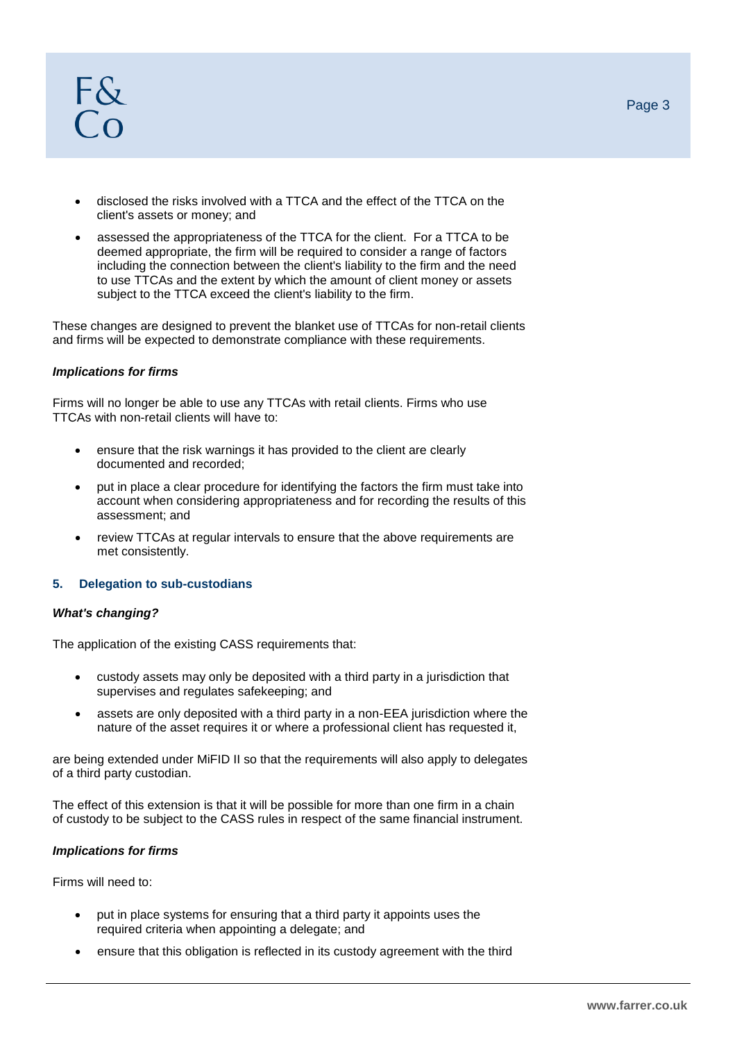- disclosed the risks involved with a TTCA and the effect of the TTCA on the client's assets or money; and
- assessed the appropriateness of the TTCA for the client. For a TTCA to be deemed appropriate, the firm will be required to consider a range of factors including the connection between the client's liability to the firm and the need to use TTCAs and the extent by which the amount of client money or assets subject to the TTCA exceed the client's liability to the firm.

These changes are designed to prevent the blanket use of TTCAs for non-retail clients and firms will be expected to demonstrate compliance with these requirements.

#### *Implications for firms*

Firms will no longer be able to use any TTCAs with retail clients. Firms who use TTCAs with non-retail clients will have to:

- ensure that the risk warnings it has provided to the client are clearly documented and recorded;
- put in place a clear procedure for identifying the factors the firm must take into account when considering appropriateness and for recording the results of this assessment; and
- review TTCAs at regular intervals to ensure that the above requirements are met consistently.

#### **5. Delegation to sub-custodians**

#### *What's changing?*

The application of the existing CASS requirements that:

- custody assets may only be deposited with a third party in a jurisdiction that supervises and regulates safekeeping; and
- assets are only deposited with a third party in a non-EEA jurisdiction where the nature of the asset requires it or where a professional client has requested it,

are being extended under MiFID II so that the requirements will also apply to delegates of a third party custodian.

The effect of this extension is that it will be possible for more than one firm in a chain of custody to be subject to the CASS rules in respect of the same financial instrument.

#### *Implications for firms*

Firms will need to:

- put in place systems for ensuring that a third party it appoints uses the required criteria when appointing a delegate; and
- ensure that this obligation is reflected in its custody agreement with the third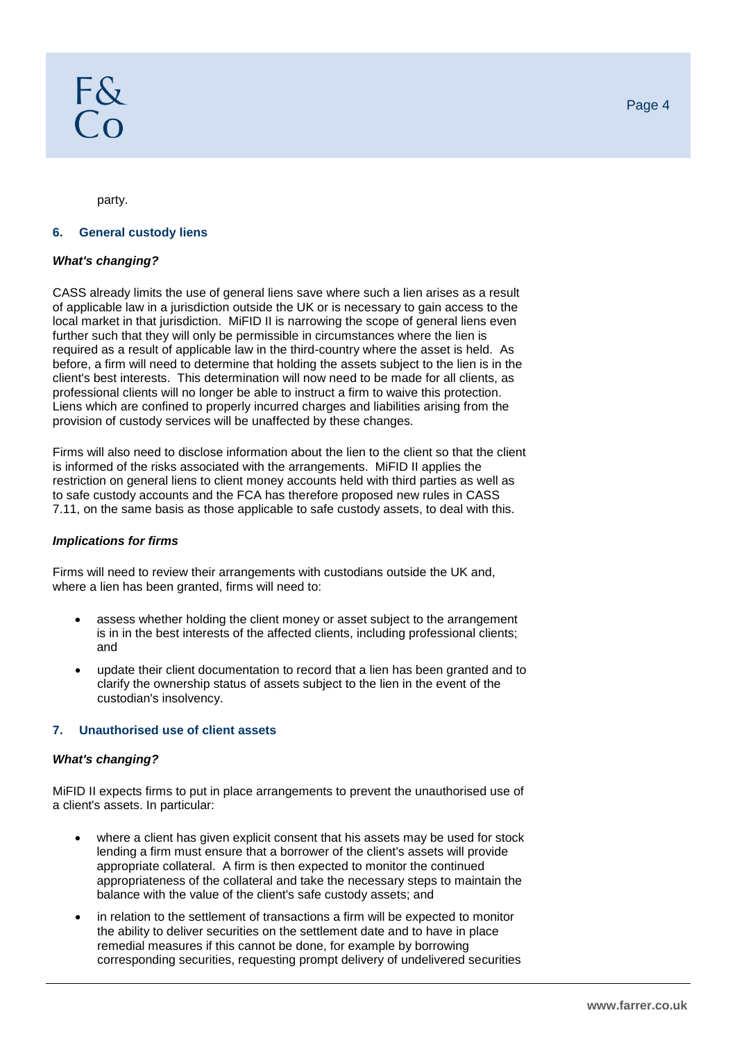party.

#### **6. General custody liens**

#### *What's changing?*

CASS already limits the use of general liens save where such a lien arises as a result of applicable law in a jurisdiction outside the UK or is necessary to gain access to the local market in that jurisdiction. MiFID II is narrowing the scope of general liens even further such that they will only be permissible in circumstances where the lien is required as a result of applicable law in the third-country where the asset is held. As before, a firm will need to determine that holding the assets subject to the lien is in the client's best interests. This determination will now need to be made for all clients, as professional clients will no longer be able to instruct a firm to waive this protection. Liens which are confined to properly incurred charges and liabilities arising from the provision of custody services will be unaffected by these changes.

Firms will also need to disclose information about the lien to the client so that the client is informed of the risks associated with the arrangements. MiFID II applies the restriction on general liens to client money accounts held with third parties as well as to safe custody accounts and the FCA has therefore proposed new rules in CASS 7.11, on the same basis as those applicable to safe custody assets, to deal with this.

# *Implications for firms*

Firms will need to review their arrangements with custodians outside the UK and, where a lien has been granted, firms will need to:

- assess whether holding the client money or asset subject to the arrangement is in in the best interests of the affected clients, including professional clients; and
- update their client documentation to record that a lien has been granted and to clarify the ownership status of assets subject to the lien in the event of the custodian's insolvency.

# **7. Unauthorised use of client assets**

#### *What's changing?*

MiFID II expects firms to put in place arrangements to prevent the unauthorised use of a client's assets. In particular:

- where a client has given explicit consent that his assets may be used for stock lending a firm must ensure that a borrower of the client's assets will provide appropriate collateral. A firm is then expected to monitor the continued appropriateness of the collateral and take the necessary steps to maintain the balance with the value of the client's safe custody assets; and
- in relation to the settlement of transactions a firm will be expected to monitor the ability to deliver securities on the settlement date and to have in place remedial measures if this cannot be done, for example by borrowing corresponding securities, requesting prompt delivery of undelivered securities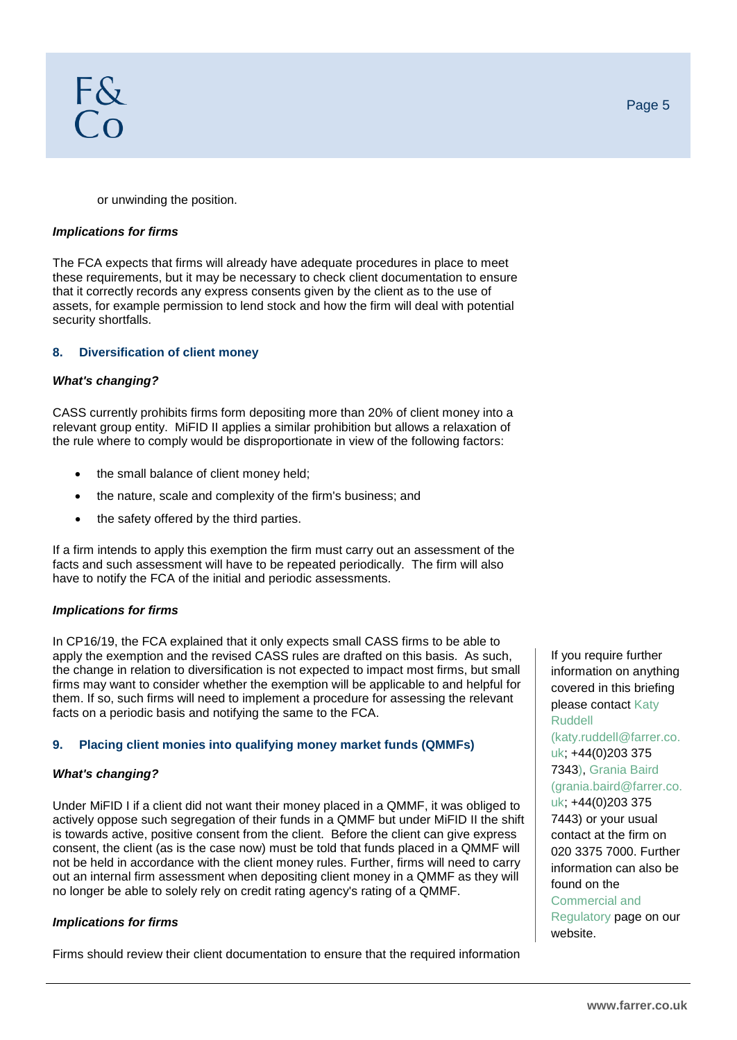or unwinding the position.

#### *Implications for firms*

The FCA expects that firms will already have adequate procedures in place to meet these requirements, but it may be necessary to check client documentation to ensure that it correctly records any express consents given by the client as to the use of assets, for example permission to lend stock and how the firm will deal with potential security shortfalls.

# **8. Diversification of client money**

#### *What's changing?*

CASS currently prohibits firms form depositing more than 20% of client money into a relevant group entity. MiFID II applies a similar prohibition but allows a relaxation of the rule where to comply would be disproportionate in view of the following factors:

- the small balance of client money held;
- the nature, scale and complexity of the firm's business; and
- the safety offered by the third parties.

If a firm intends to apply this exemption the firm must carry out an assessment of the facts and such assessment will have to be repeated periodically. The firm will also have to notify the FCA of the initial and periodic assessments.

#### *Implications for firms*

In CP16/19, the FCA explained that it only expects small CASS firms to be able to apply the exemption and the revised CASS rules are drafted on this basis. As such, the change in relation to diversification is not expected to impact most firms, but small firms may want to consider whether the exemption will be applicable to and helpful for them. If so, such firms will need to implement a procedure for assessing the relevant facts on a periodic basis and notifying the same to the FCA.

#### **9. Placing client monies into qualifying money market funds (QMMFs)**

### *What's changing?*

Under MiFID I if a client did not want their money placed in a QMMF, it was obliged to actively oppose such segregation of their funds in a QMMF but under MiFID II the shift is towards active, positive consent from the client. Before the client can give express consent, the client (as is the case now) must be told that funds placed in a QMMF will not be held in accordance with the client money rules. Further, firms will need to carry out an internal firm assessment when depositing client money in a QMMF as they will no longer be able to solely rely on credit rating agency's rating of a QMMF.

#### *Implications for firms*

Firms should review their client documentation to ensure that the required information

If you require further information on anything covered in this briefing please contact Katy Ruddell (katy.ruddell@farrer.co. uk; +44(0)203 375 7343), Grania Baird (grania.baird@farrer.co. uk; +44(0)203 375 7443) or your usual contact at the firm on 020 3375 7000. Further information can also be found on the [Commercial and](http://www.farrer.co.uk/how-we-help/compliance-regulatory/)  [Regulatory](http://www.farrer.co.uk/how-we-help/compliance-regulatory/) page on our website.